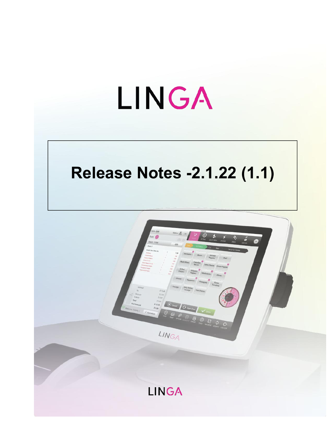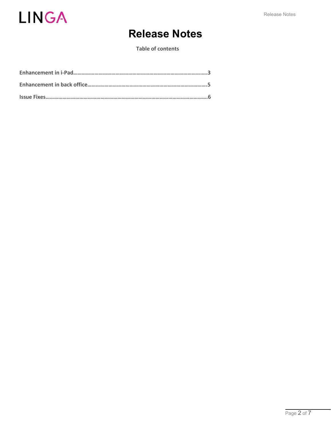

# **Release Notes**

**Table of contents**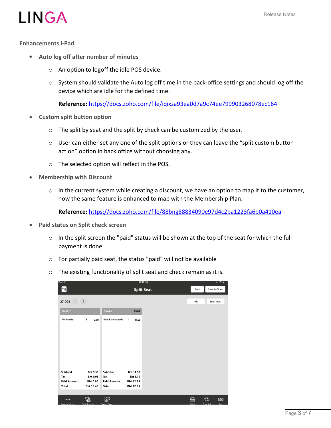



#### **Enhancements i-Pad**

- **Auto log off after number of minutes**
	- o An option to logoff the idle POS device.
	- $\circ$  System should validate the Auto log off time in the back-office settings and should log off the device which are idle for the defined time.

**Reference:** <https://docs.zoho.com/file/iqixza93ea0d7a9c74ee799903268078ec164>

- **Custom split button option**
	- $\circ$  The split by seat and the split by check can be customized by the user.
	- $\circ$  User can either set any one of the split options or they can leave the "split custom button action" option in back office without choosing any.
	- o The selected option will reflect in the POS.
- **Membership with Discount**
	- $\circ$  In the current system while creating a discount, we have an option to map it to the customer, now the same feature is enhanced to map with the Membership Plan.

**Reference:** <https://docs.zoho.com/file/88bng88834090e97d4c2ba1223fa6b0a410ea>

- **Paid status on Split check screen**
	- o In the split screen the "paid" status will be shown at the top of the seat for which the full payment is done.
	- o For partially paid seat, the status "paid" will not be available
	- o The existing functionality of split seat and check remain as it is.

| $P = 0$            |                             | ٠                      |                       | 12:41 PM          |       | $9 - 1/$ %        |
|--------------------|-----------------------------|------------------------|-----------------------|-------------------|-------|-------------------|
| T11                |                             |                        |                       | <b>Split Seat</b> | Back  | Save & Close      |
| 27-002<br>1        | (2)                         |                        |                       |                   | Add   | <b>Start Over</b> |
| Seat 1             |                             | Seat 2                 | Paid                  |                   |       |                   |
| <b>Kir Royale</b>  | 1<br>9.50                   | <b>Blue B Lemonade</b> | $\mathbf{1}$<br>11.50 |                   |       |                   |
|                    |                             |                        |                       |                   |       |                   |
|                    |                             |                        |                       |                   |       |                   |
|                    |                             |                        |                       |                   |       |                   |
|                    |                             |                        |                       |                   |       |                   |
|                    |                             |                        |                       |                   |       |                   |
|                    |                             |                        |                       |                   |       |                   |
| Subtotal<br>Tax    | <b>Bht 9.50</b><br>Bht 0.95 | Subtotal<br>Tax        | Bht 11.50<br>Bht 1.15 |                   |       |                   |
| <b>Paid Amount</b> | <b>Bht 0.00</b>             | <b>Paid Amount</b>     | Bht 12.65             |                   |       |                   |
| <b>Total</b>       | Bht 10.45                   | <b>Total</b>           | Bht 12.65             |                   |       |                   |
| $+$ $+$            | 뭠                           | 嘂                      |                       |                   | 옵     | 뭡<br><b>{O}</b>   |
| Senerate Item      | Snlit Evenly                | <b>Group Seats</b>     |                       |                   | Print | Print All<br>Pav  |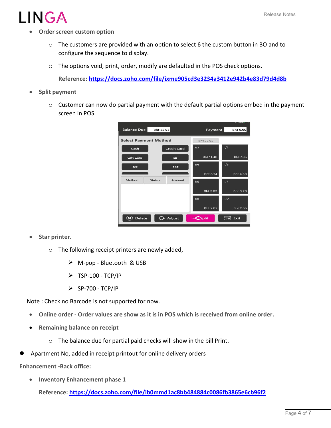# $I\bigwedge G\bigwedge$

- **Order screen custom option**
	- o The customers are provided with an option to select 6 the custom button in BO and to configure the sequence to display.
	- o The options void, print, order, modify are defaulted in the POS check options.

**Reference: <https://docs.zoho.com/file/ixme905cd3e3234a3412e942b4e83d79d4d8b>**

- **Split payment**
	- $\circ$  Customer can now do partial payment with the default partial options embed in the payment screen in POS.

| <b>Balance Due</b>           | Bht 22.95     |                    |     | Payment            |     | <b>Bht 0.00</b> |
|------------------------------|---------------|--------------------|-----|--------------------|-----|-----------------|
| <b>Select Payment Method</b> |               |                    |     | Bht 22.95          |     |                 |
| Cash                         |               | <b>Credit Card</b> | 1/2 |                    | 1/3 |                 |
| <b>Gift Card</b>             |               | sp                 |     | Bht 11.48          |     | <b>Bht 7.65</b> |
| SCC                          |               | ebt                | 1/4 |                    | 1/5 |                 |
|                              |               |                    |     | <b>Bht 5.74</b>    |     | <b>Bht 4.59</b> |
| Method                       | <b>Status</b> | Amount             | 1/6 |                    | 1/7 |                 |
|                              |               |                    |     | Bht 3.83           |     | Bht 3.28        |
|                              |               |                    | 1/8 |                    | 1/9 |                 |
|                              |               |                    |     | Bht 2.87           |     | Bht 2.55        |
| <b>Delete</b>                | توكه          | Adjust             |     | $\mathsf{Z}$ Split | 현   | Exit            |

- **Star printer.**
	- o The following receipt printers are newly added,
		- $\triangleright$  M-pop Bluetooth & USB
		- $\triangleright$  TSP-100 TCP/IP
		- $\triangleright$  SP-700 TCP/IP

Note : Check no Barcode is not supported for now.

- **Online order - Order values are show as it is in POS which is received from online order.**
- **Remaining balance on receipt**
	- $\circ$  The balance due for partial paid checks will show in the bill Print.
- Apartment No, added in receipt printout for online delivery orders

**Enhancement -Back office:**

**Inventory Enhancement phase 1**

**Reference: <https://docs.zoho.com/file/ib0mmd1ac8bb484884c0086fb3865e6cb96f2>**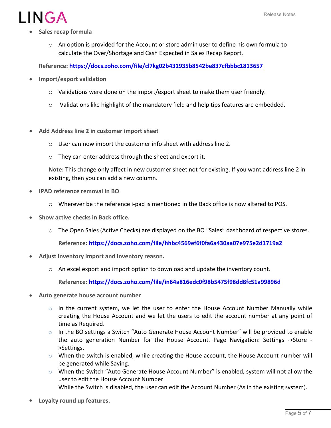

- **Sales recap formula**
	- o An option is provided for the Account or store admin user to define his own formula to calculate the Over/Shortage and Cash Expected in Sales Recap Report.

**Reference: <https://docs.zoho.com/file/cl7kg02b431935b8542be837cfbbbc1813657>**

- **Import/export validation**
	- o Validations were done on the import/export sheet to make them user friendly.
	- $\circ$  Validations like highlight of the mandatory field and help tips features are embedded.
- **Add Address line 2 in customer import sheet**
	- o User can now import the customer info sheet with address line 2.
	- o They can enter address through the sheet and export it.

**Note:** This change only affect in new customer sheet not for existing. If you want address line 2 in existing, then you can add a new column.

- **IPAD reference removal in BO**
	- o Wherever be the reference i-pad is mentioned in the Back office is now altered to POS.
- **Show active checks in Back office.**
	- o The Open Sales (Active Checks) are displayed on the BO "Sales" dashboard of respective stores.

**Reference: <https://docs.zoho.com/file/hhbc4569ef6f0fa6a430aa07e975e2d1719a2>**

- **Adjust Inventory import and Inventory reason.**
	- $\circ$  An excel export and import option to download and update the inventory count.

**Reference: <https://docs.zoho.com/file/in64a816edc0f98b5475f98dd8fc51a99896d>**

- **Auto generate house account number**
	- $\circ$  In the current system, we let the user to enter the House Account Number Manually while creating the House Account and we let the users to edit the account number at any point of time as Required.
	- $\circ$  In the BO settings a Switch "Auto Generate House Account Number" will be provided to enable the auto generation Number for the House Account. Page Navigation: Settings ->Store - >Settings.
	- $\circ$  When the switch is enabled, while creating the House account, the House Account number will be generated while Saving.
	- $\circ$  When the Switch "Auto Generate House Account Number" is enabled, system will not allow the user to edit the House Account Number.
		- While the Switch is disabled, the user can edit the Account Number (As in the existing system).
- **Loyalty round up features.**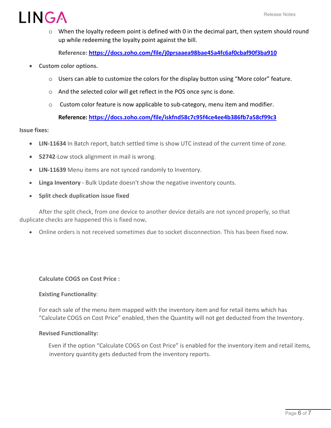

 $\circ$  When the loyalty redeem point is defined with 0 in the decimal part, then system should round up while redeeming the loyalty point against the bill.

**Reference: <https://docs.zoho.com/file/j0prsaaea98bae45a4fc6af0cbaf90f3ba910>**

- **Custom color options.**
	- o Users can able to customize the colors for the display button using "More color" feature.
	- o And the selected color will get reflect in the POS once sync is done.
	- $\circ$  Custom color feature is now applicable to sub-category, menu item and modifier.

## **Reference: <https://docs.zoho.com/file/iskfnd58c7c95f4ce4ee4b386fb7a58cf99c3>**

#### **Issue fixes:**

- **LIN-11634** In Batch report, batch settled time is show UTC instead of the current time of zone.
- **52742**-Low stock alignment in mail is wrong.
- **LIN-11639** Menu itemsare not synced randomly to Inventory.
- **Linga Inventory** Bulk Update doesn't show the negative inventory counts.
- **Split check duplication issue fixed**

After the split check, from one device to another device details are not synced properly, so that duplicate checks are happened this isfixed now**.**

Online orders is not received sometimes due to socket disconnection. This has been fixed now.

### **Calculate COGS on Cost Price :**

### **Existing Functionality**:

For each sale of the menu item mapped with the inventory item and for retail items which has "Calculate COGS on Cost Price" enabled, then the Quantity will not get deducted from the Inventory.

#### **Revised Functionality:**

Even if the option "Calculate COGS on Cost Price" is enabled for the inventory item and retail items, inventory quantity gets deducted from the inventory reports.